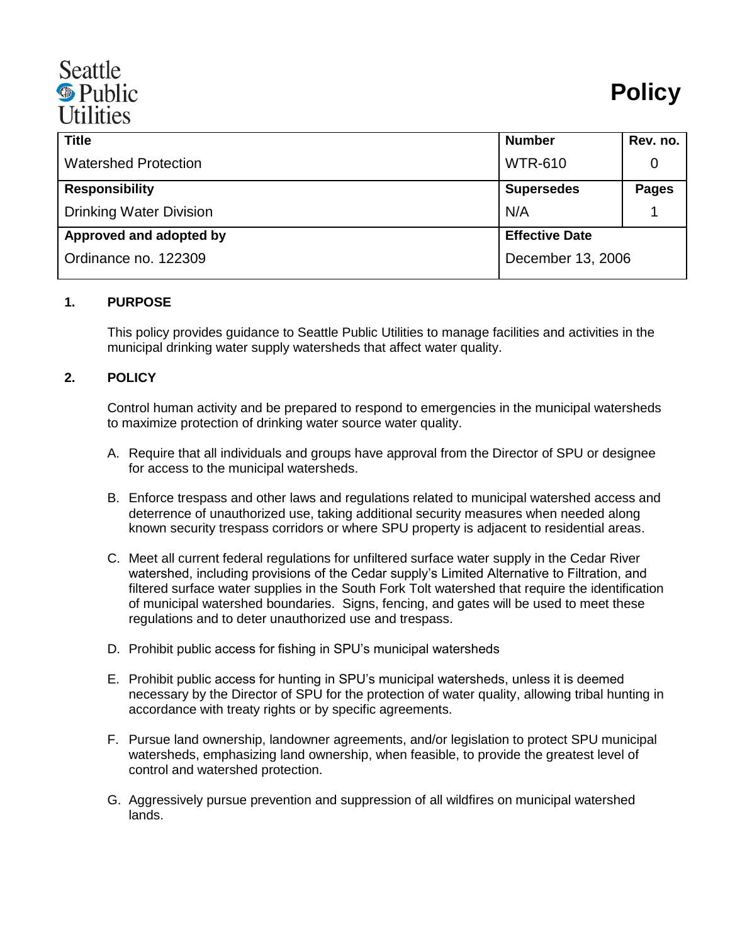## Seattle <sup><sup>®</sup> Public</sup> **Utilities**

| <b>Title</b>                   | <b>Number</b>         | Rev. no.     |
|--------------------------------|-----------------------|--------------|
| <b>Watershed Protection</b>    | <b>WTR-610</b>        | 0            |
| <b>Responsibility</b>          | <b>Supersedes</b>     | <b>Pages</b> |
| <b>Drinking Water Division</b> | N/A                   |              |
| Approved and adopted by        | <b>Effective Date</b> |              |
| Ordinance no. 122309           | December 13, 2006     |              |

## **1. PURPOSE**

This policy provides guidance to Seattle Public Utilities to manage facilities and activities in the municipal drinking water supply watersheds that affect water quality.

## **2. POLICY**

Control human activity and be prepared to respond to emergencies in the municipal watersheds to maximize protection of drinking water source water quality.

- A. Require that all individuals and groups have approval from the Director of SPU or designee for access to the municipal watersheds.
- B. Enforce trespass and other laws and regulations related to municipal watershed access and deterrence of unauthorized use, taking additional security measures when needed along known security trespass corridors or where SPU property is adjacent to residential areas.
- C. Meet all current federal regulations for unfiltered surface water supply in the Cedar River watershed, including provisions of the Cedar supply's Limited Alternative to Filtration, and filtered surface water supplies in the South Fork Tolt watershed that require the identification of municipal watershed boundaries. Signs, fencing, and gates will be used to meet these regulations and to deter unauthorized use and trespass.
- D. Prohibit public access for fishing in SPU's municipal watersheds
- E. Prohibit public access for hunting in SPU's municipal watersheds, unless it is deemed necessary by the Director of SPU for the protection of water quality, allowing tribal hunting in accordance with treaty rights or by specific agreements.
- F. Pursue land ownership, landowner agreements, and/or legislation to protect SPU municipal watersheds, emphasizing land ownership, when feasible, to provide the greatest level of control and watershed protection.
- G. Aggressively pursue prevention and suppression of all wildfires on municipal watershed lands.